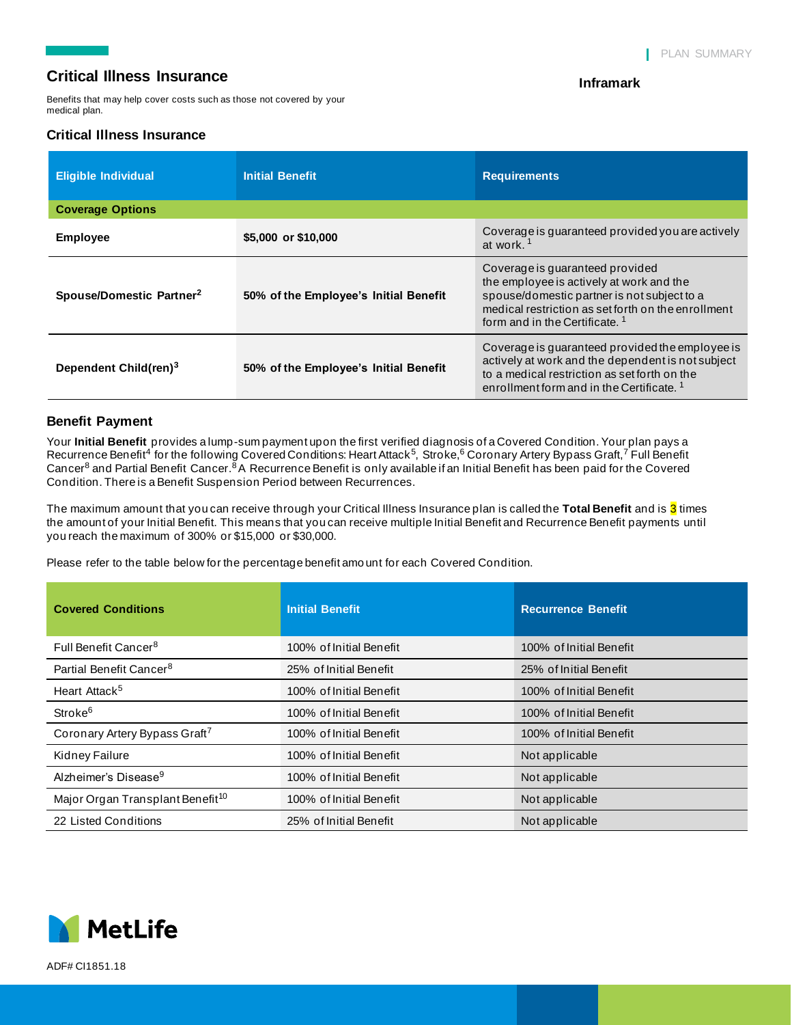## **Critical Illness Insurance**

Benefits that may help cover costs such as those not covered by your medical plan.

### **Critical Illness Insurance**

#### **Inframark**

| <b>Eligible Individual</b>           | <b>Initial Benefit</b>                | <b>Requirements</b>                                                                                                                                                                                                           |  |  |  |
|--------------------------------------|---------------------------------------|-------------------------------------------------------------------------------------------------------------------------------------------------------------------------------------------------------------------------------|--|--|--|
| <b>Coverage Options</b>              |                                       |                                                                                                                                                                                                                               |  |  |  |
| <b>Employee</b>                      | \$5,000 or \$10,000                   | Coverage is guaranteed provided you are actively<br>at work. <sup>1</sup>                                                                                                                                                     |  |  |  |
| Spouse/Domestic Partner <sup>2</sup> | 50% of the Employee's Initial Benefit | Coverage is quaranteed provided<br>the employee is actively at work and the<br>spouse/domestic partner is not subject to a<br>medical restriction as set forth on the enrollment<br>form and in the Certificate. <sup>1</sup> |  |  |  |
| Dependent Child(ren) <sup>3</sup>    | 50% of the Employee's Initial Benefit | Coverage is quaranteed provided the employee is<br>actively at work and the dependent is not subject<br>to a medical restriction as set forth on the<br>enrollment form and in the Certificate. <sup>1</sup>                  |  |  |  |

### **Benefit Payment**

Your **Initial Benefit** provides a lump-sum payment upon the first verified diagnosis of a Covered Condition. Your plan pays a Recurrence Benefit<sup>4</sup> for the following Covered Conditions: Heart Attack<sup>5</sup>, Stroke,<sup>6</sup> Coronary Artery Bypass Graft,<sup>7</sup> Full Benefit Cancer<sup>8</sup> and Partial Benefit Cancer.<sup>8</sup>A Recurrence Benefit is only available if an Initial Benefit has been paid for the Covered Condition. There is a Benefit Suspension Period between Recurrences.

The maximum amount that you can receive through your Critical Illness Insurance plan is called the **Total Benefit** and is 3 times the amount of your Initial Benefit. This means that you can receive multiple Initial Benefit and Recurrence Benefit payments until you reach the maximum of 300% or \$15,000 or \$30,000.

Please refer to the table below for the percentage benefit amo unt for each Covered Condition.

| <b>Covered Conditions</b>                    | <b>Initial Benefit</b>  | <b>Recurrence Benefit</b> |
|----------------------------------------------|-------------------------|---------------------------|
| Full Benefit Cancer <sup>8</sup>             | 100% of Initial Benefit | 100% of Initial Benefit   |
| Partial Benefit Cancer <sup>8</sup>          | 25% of Initial Benefit  | 25% of Initial Benefit    |
| Heart Attack <sup>5</sup>                    | 100% of Initial Benefit | 100% of Initial Benefit   |
| Stroke <sup>6</sup>                          | 100% of Initial Benefit | 100% of Initial Benefit   |
| Coronary Artery Bypass Graft <sup>7</sup>    | 100% of Initial Benefit | 100% of Initial Benefit   |
| Kidney Failure                               | 100% of Initial Benefit | Not applicable            |
| Alzheimer's Disease <sup>9</sup>             | 100% of Initial Benefit | Not applicable            |
| Major Organ Transplant Benefit <sup>10</sup> | 100% of Initial Benefit | Not applicable            |
| 22 Listed Conditions                         | 25% of Initial Benefit  | Not applicable            |

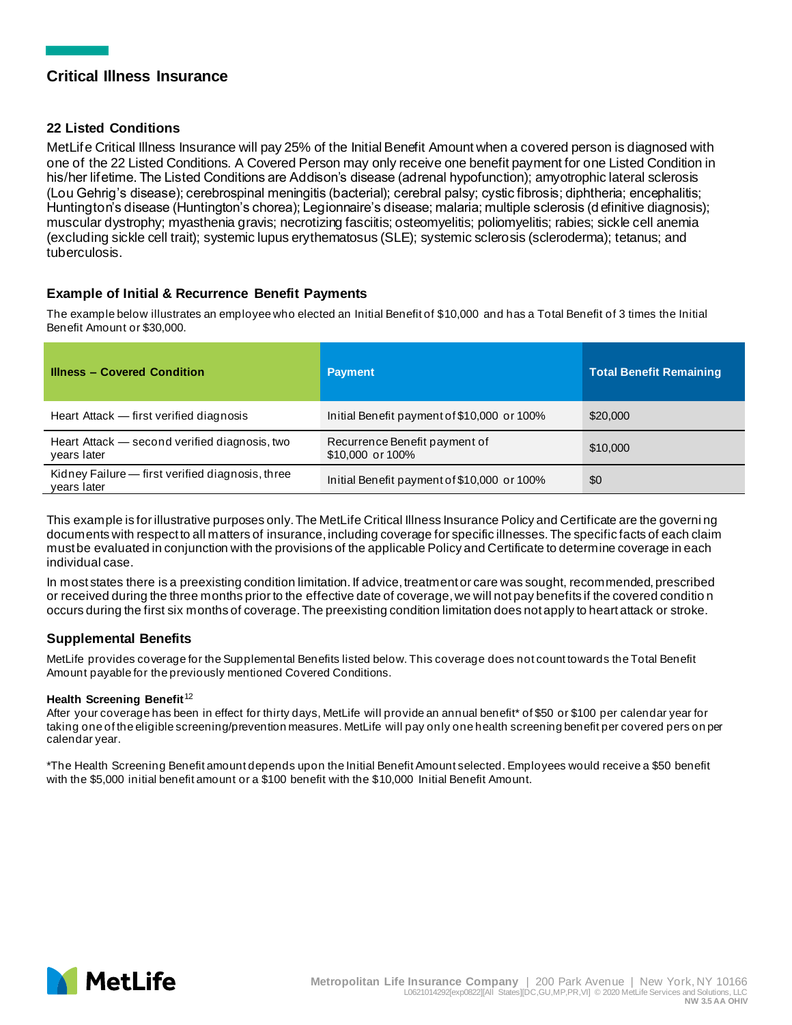# **Critical Illness Insurance**

### **22 Listed Conditions**

MetLife Critical Illness Insurance will pay 25% of the Initial Benefit Amount when a covered person is diagnosed with one of the 22 Listed Conditions. A Covered Person may only receive one benefit payment for one Listed Condition in his/her lifetime. The Listed Conditions are Addison's disease (adrenal hypofunction); amyotrophic lateral sclerosis (Lou Gehrig's disease); cerebrospinal meningitis (bacterial); cerebral palsy; cystic fibrosis; diphtheria; encephalitis; Huntington's disease (Huntington's chorea); Legionnaire's disease; malaria; multiple sclerosis (d efinitive diagnosis); muscular dystrophy; myasthenia gravis; necrotizing fasciitis; osteomyelitis; poliomyelitis; rabies; sickle cell anemia (excluding sickle cell trait); systemic lupus erythematosus (SLE); systemic sclerosis (scleroderma); tetanus; and tuberculosis.

## **Example of Initial & Recurrence Benefit Payments**

The example below illustrates an employee who elected an Initial Benefit of \$10,000 and has a Total Benefit of 3 times the Initial Benefit Amount or \$30,000.

| <b>Illness - Covered Condition</b>                              | <b>Payment</b>                                    | <b>Total Benefit Remaining</b> |
|-----------------------------------------------------------------|---------------------------------------------------|--------------------------------|
| Heart Attack – first verified diagnosis                         | Initial Benefit payment of \$10,000 or 100%       | \$20,000                       |
| Heart Attack – second verified diagnosis, two<br>years later    | Recurrence Benefit payment of<br>\$10,000 or 100% | \$10,000                       |
| Kidney Failure - first verified diagnosis, three<br>years later | Initial Benefit payment of \$10,000 or 100%       | \$0                            |

This example is for illustrative purposes only. The MetLife Critical Illness Insurance Policy and Certificate are the governi ng documents with respect to all matters of insurance, including coverage for specific illnesses. The specific facts of each claim must be evaluated in conjunction with the provisions of the applicable Policy and Certificate to determine coverage in each individual case.

In most states there is a preexisting condition limitation. If advice, treatment or care was sought, recommended, prescribed or received during the three months prior to the effective date of coverage, we will not pay benefits if the covered conditio n occurs during the first six months of coverage. The preexisting condition limitation does not apply to heart attack or stroke.

#### **Supplemental Benefits**

MetLife provides coverage for the Supplemental Benefits listed below. This coverage does not count towards the Total Benefit Amount payable for the previously mentioned Covered Conditions.

#### **Health Screening Benefit**<sup>12</sup>

After your coverage has been in effect for thirty days, MetLife will provide an annual benefit\* of \$50 or \$100 per calendar year for taking one of the eligible screening/prevention measures. MetLife will pay only one health screening benefit per covered pers on per calendar year.

\*The Health Screening Benefit amount depends upon the Initial Benefit Amount selected. Employees would receive a \$50 benefit with the \$5,000 initial benefit amount or a \$100 benefit with the \$10,000 Initial Benefit Amount.